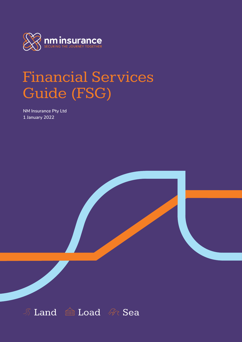

# Financial Services Guide (FSG)

**NM Insurance Pty Ltd 1 January 2022**

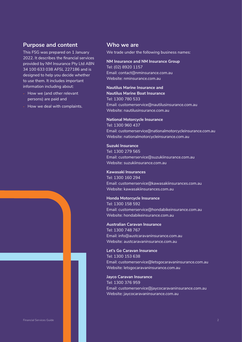## **Purpose and content**

This FSG was prepared on 1 January 2022. It describes the financial services provided by NM Insurance Pty Ltd ABN 34 100 633 038 AFSL 227186 and is designed to help you decide whether to use them. It includes important information including about:

- **‐** How we (and other relevant persons) are paid and
- **‐** How we deal with complaints.

## **Who we are**

We trade under the following business names:

**NM Insurance and NM Insurance Group** Tel: (02) 8920 1157 Email: contact@nminsurance.com.au Website: nminsurance.com.au

**Nautilus Marine Insurance and Nautilus Marine Boat Insurance** Tel: 1300 780 533 Email: customerservice@nautilusinsurance.com.au Website: nautilusinsurance.com.au

#### **National Motorcycle Insurance**

Tel: 1300 960 437 Email: customerservice@nationalmotorcycleinsurance.com.au Website: nationalmotorcycleinsurance.com.au

**Suzuki Insurance** Tel: 1300 279 565 Email: customerservice@suzukiinsurance.com.au Website: suzukiinsurance.com.au

**Kawasaki Insurances** Tel: 1300 160 294 Email: customerservice@kawasakiinsurances.com.au Website: kawasakiinsurances.com.au

**Honda Motorcycle Insurance**

Tel: 1300 158 592 Email: customerservice@hondabikeinsurance.com.au Website: hondabikeinsurance.com.au

**Australian Caravan Insurance** Tel: 1300 748 767 Email: info@austcaravaninsurance.com.au Website: austcaravaninsurance.com.au

**Let's Go Caravan Insurance** Tel: 1300 153 638 Email: customerservice@letsgocaravaninsurance.com.au Website: letsgocaravaninsurance.com.au

**Jayco Caravan Insurance** Tel: 1300 376 959 Email: customerservice@jaycocaravaninsurance.com.au Website: jaycocaravaninsurance.com.au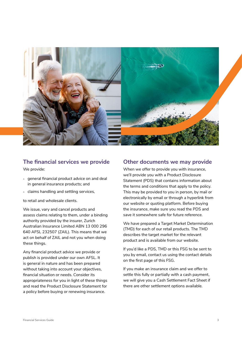

# **The financial services we provide**

We provide:

- **‐** general financial product advice on and deal in general insurance products; and
- **‐** claims handling and settling services,

to retail and wholesale clients.

We issue, vary and cancel products and assess claims relating to them, under a binding authority provided by the insurer, Zurich Australian Insurance Limited ABN 13 000 296 640 AFSL 232507 (ZAIL). This means that we act on behalf of ZAIL and not you when doing these things.

Any financial product advice we provide or publish is provided under our own AFSL. It is general in nature and has been prepared without taking into account your objectives, financial situation or needs. Consider its appropriateness for you in light of these things and read the Product Disclosure Statement for a policy before buying or renewing insurance.

## **Other documents we may provide**

When we offer to provide you with insurance, we'll provide you with a Product Disclosure Statement (PDS) that contains information about the terms and conditions that apply to the policy. This may be provided to you in person, by mail or electronically by email or through a hyperlink from our website or quoting platform. Before buying the insurance, make sure you read the PDS and save it somewhere safe for future reference.

We have prepared a Target Market Determination (TMD) for each of our retail products. The TMD describes the target market for the relevant product and is available from our website.

If you'd like a PDS, TMD or this FSG to be sent to you by email, contact us using the contact details on the first page of this FSG.

If you make an insurance claim and we offer to settle this fully or partially with a cash payment, we will give you a Cash Settlement Fact Sheet if there are other settlement options available.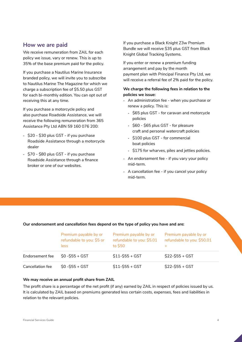## **How we are paid**

We receive remuneration from ZAIL for each policy we issue, vary or renew. This is up to 35% of the base premium paid for the policy.

If you purchase a Nautilus Marine Insurance branded policy, we will invite you to subscribe to Nautilus Marine The Magazine for which we charge a subscription fee of \$5.50 plus GST for each bi-monthly edition. You can opt out of receiving this at any time.

If you purchase a motorcycle policy and also purchase Roadside Assistance, we will receive the following remuneration from 365 Assistance Pty Ltd ABN 59 160 076 200:

- **‐** \$20 \$30 plus GST if you purchase Roadside Assistance through a motorcycle dealer
- **‐** \$70 \$80 plus GST if you purchase Roadside Assistance through a finance broker or one of our websites.

If you purchase a Black Knight Z3w Premium Bundle we will receive \$35 plus GST from Black Knight Global Tracking Systems.

If you enter or renew a premium funding arrangement and pay by the month payment plan with Principal Finance Pty Ltd, we will receive a referral fee of 2% paid for the policy.

## **We charge the following fees in relation to the policies we issue:**

- **‐** An administration fee when you purchase or renew a policy. This is:
	- **‐** \$65 plus GST for caravan and motorcycle policies
	- **‐** \$60 \$65 plus GST for pleasure craft and personal watercraft policies
	- **‐** \$100 plus GST for commercial boat policies
	- **‐** \$175 for wharves, piles and jetties policies.
- **‐** An endorsement fee if you vary your policy mid-term.
- **‐** A cancellation fee if you cancel your policy mid-term.

## **Our endorsement and cancellation fees depend on the type of policy you have and are:**

|                  | Premium payable by or<br>refundable to you: \$5 or<br>less | Premium payable by or<br>refundable to you: \$5.01<br>to \$50 | Premium payable by or<br>refundable to you: \$50.01 |
|------------------|------------------------------------------------------------|---------------------------------------------------------------|-----------------------------------------------------|
| Endorsement fee  | $$0 - $55 + GST$                                           | $$11-$555 + GST$                                              | $$22-$55+GST$                                       |
| Cancellation fee | $$0 - $55 + GST$                                           | $$11-$55+$ GST                                                | $$22-$55+GST$                                       |

## **We may receive an annual profit share from ZAIL**

The profit share is a percentage of the net profit (if any) earned by ZAIL in respect of policies issued by us. It is calculated by ZAIL based on premiums generated less certain costs, expenses, fees and liabilities in relation to the relevant policies.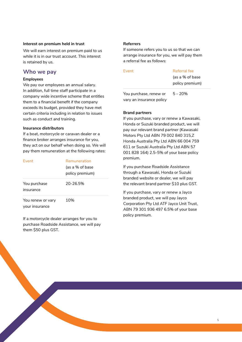## **Interest on premium held in trust**

We will earn interest on premium paid to us while it is in our trust account. This interest is retained by us.

## **Who we pay**

### **Employees**

We pay our employees an annual salary. In addition, full time staff participate in a company wide incentive scheme that entitles them to a financial benefit if the company exceeds its budget, provided they have met certain criteria including in relation to issues such as conduct and training.

### **Insurance distributors**

If a boat, motorcycle or caravan dealer or a finance broker arranges insurance for you, they act on our behalf when doing so. We will pay them remuneration at the following rates:

| Event                               | Remuneration    |  |  |
|-------------------------------------|-----------------|--|--|
|                                     | (as a % of base |  |  |
|                                     | policy premium) |  |  |
| You purchase<br>insurance           | 20-26.5%        |  |  |
| You renew or vary<br>vour insurance | 10%             |  |  |

If a motorcycle dealer arranges for you to purchase Roadside Assistance, we will pay them \$50 plus GST.

#### **Referrers**

If someone refers you to us so that we can arrange insurance for you, we will pay them a referral fee as follows:

| <b>Fvent</b>             | Referral fee                       |  |
|--------------------------|------------------------------------|--|
|                          | (as a % of base<br>policy premium) |  |
| You purchase, renew or   | 5 - 20%                            |  |
| vary an insurance policy |                                    |  |

## **Brand partners**

If you purchase, vary or renew a Kawasaki, Honda or Suzuki branded product, we will pay our relevant brand partner (Kawasaki Motors Pty Ltd ABN 79 002 840 315,Z Honda Australia Pty Ltd ABN 66 004 759 611 or Suzuki Australia Pty Ltd ABN 57 001 828 164) 2.5-5% of your base policy premium.

If you purchase Roadside Assistance through a Kawasaki, Honda or Suzuki branded website or dealer, we will pay the relevant brand partner \$10 plus GST.

If you purchase, vary or renew a Jayco branded product, we will pay Jayco Corporation Pty Ltd ATF Jayco Unit Trust, ABN 79 301 936 497 6.5% of your base policy premium.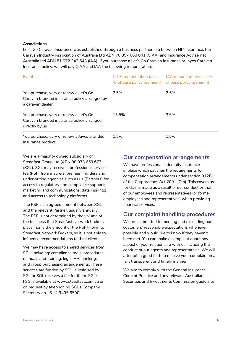#### **Associations**

Let's Go Caravan Insurance was established through a business partnership between NM Insurance, the Caravan Industry Association of Australia Ltd ABN 70 057 668 041 (CIAA) and Insurance Advisernet Australia Ltd ABN 81 072 343 643 (IAA). If you purchase a Let's Go Caravan Insurance or Jayco Caravan Insurance policy, we will pay CIAA and IAA the following remuneration:

| Event                                                                                                      | CIAA remuneration (as a<br>% of base policy premium) | IAA remuneration (as a %<br>of base policy premium) |
|------------------------------------------------------------------------------------------------------------|------------------------------------------------------|-----------------------------------------------------|
| You purchase, vary or renew a Let's Go<br>Caravan branded insurance policy arranged by<br>a caravan dealer | 2.5%                                                 | 2.5%                                                |
| You purchase, vary or renew a Let's Go<br>Caravan branded insurance policy arranged<br>directly by us      | 13.5%                                                | 3.5%                                                |
| You purchase, vary or renew a Jayco branded<br>insurance product                                           | 1.5%                                                 | 1.5%                                                |

We are a majority owned subsidiary of Steadfast Group Ltd (ABN 98 073 659 677) (SGL). SGL may receive a professional services fee (PSF) from insurers, premium funders and underwriting agencies such as us (Partners) for access to regulatory and compliance support; marketing and communications; data insights; and access to technology platforms.

The PSF is an agreed amount between SGL and the relevant Partner, usually annually. The PSF is not determined by the volume of the business that Steadfast Network brokers place, nor is the amount of the PSF known to Steadfast Network Brokers, so it is not able to influence recommendations to their clients.

We may have access to shared services from SGL, including: compliance tools; procedures; manuals and training; legal; HR; banking; and group purchasing arrangements. These services are funded by SGL, subsidised by SGL or SGL receives a fee for them. SGL's FSG is available at www.steadfast.com.au or on request by telephoning SGL's Company Secretary on +61 2 9495 6500.

## **Our compensation arrangements**

We have professional indemnity insurance in place which satisfies the requirements for compensation arrangements under section 912B of the Corporations Act 2001 (Cth). This covers us for claims made as a result of our conduct or that of our employees and representatives (or former employees and representatives) when providing financial services.

## **Our complaint handling procedures**

We are committed to meeting and exceeding our customers' reasonable expectations whenever possible and would like to know if they haven't been met. You can make a complaint about any aspect of your relationship with us including the conduct of our agents and representatives. We will attempt in good faith to resolve your complaint in a fair, transparent and timely manner.

We aim to comply with the General Insurance Code of Practice and any relevant Australian Securities and Investments Commission guidelines.